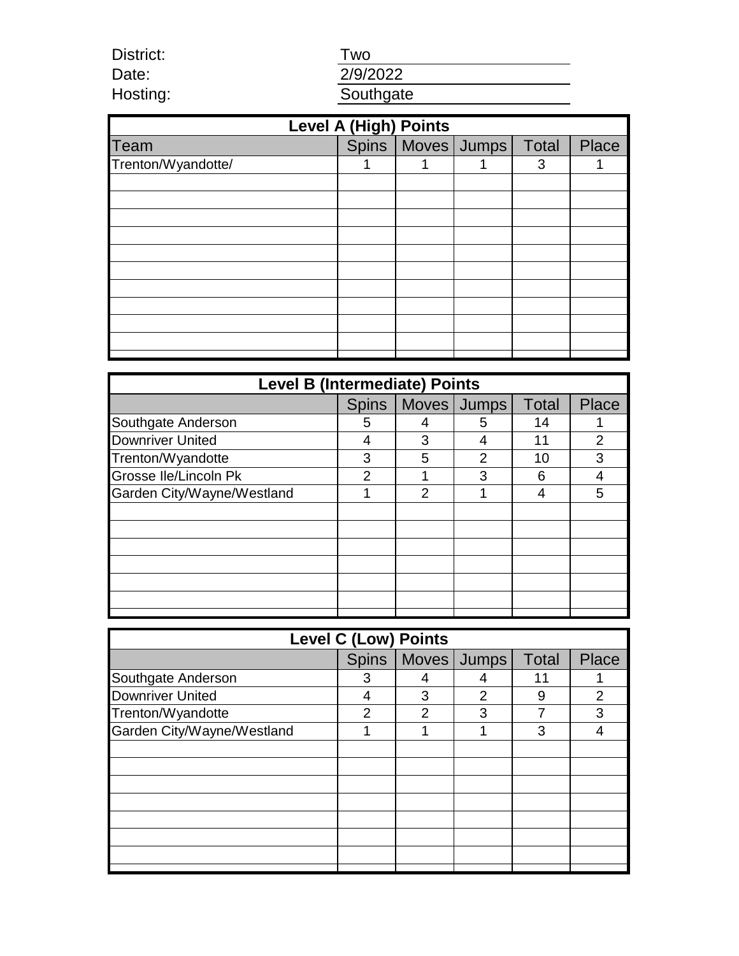Two

District: Date: Hosting:

2/9/2022 **Southgate** 

| <b>Level A (High) Points</b> |  |                         |  |   |              |  |  |  |
|------------------------------|--|-------------------------|--|---|--------------|--|--|--|
| Team                         |  | Spins Moves Jumps Total |  |   | <b>Place</b> |  |  |  |
| Trenton/Wyandotte/           |  |                         |  | 3 |              |  |  |  |
|                              |  |                         |  |   |              |  |  |  |
|                              |  |                         |  |   |              |  |  |  |
|                              |  |                         |  |   |              |  |  |  |
|                              |  |                         |  |   |              |  |  |  |
|                              |  |                         |  |   |              |  |  |  |
|                              |  |                         |  |   |              |  |  |  |
|                              |  |                         |  |   |              |  |  |  |
|                              |  |                         |  |   |              |  |  |  |
|                              |  |                         |  |   |              |  |  |  |
|                              |  |                         |  |   |              |  |  |  |
|                              |  |                         |  |   |              |  |  |  |

| <b>Level B (Intermediate) Points</b> |                |                |             |              |                |  |  |
|--------------------------------------|----------------|----------------|-------------|--------------|----------------|--|--|
|                                      | <b>Spins</b>   |                | Moves Jumps | <b>Total</b> | <b>Place</b>   |  |  |
| Southgate Anderson                   | 5              |                | 5           | 14           |                |  |  |
| <b>Downriver United</b>              | 4              | 3              | 4           | 11           | $\overline{2}$ |  |  |
| Trenton/Wyandotte                    | 3              | 5              | 2           | 10           | 3              |  |  |
| <b>Grosse Ile/Lincoln Pk</b>         | $\overline{2}$ |                | 3           | 6            | 4              |  |  |
| Garden City/Wayne/Westland           |                | $\overline{2}$ |             | 4            | 5              |  |  |
|                                      |                |                |             |              |                |  |  |
|                                      |                |                |             |              |                |  |  |
|                                      |                |                |             |              |                |  |  |
|                                      |                |                |             |              |                |  |  |
|                                      |                |                |             |              |                |  |  |
|                                      |                |                |             |              |                |  |  |
|                                      |                |                |             |              |                |  |  |

| <b>Level C (Low) Points</b> |                |                |               |              |                |  |  |
|-----------------------------|----------------|----------------|---------------|--------------|----------------|--|--|
|                             | <b>Spins</b>   |                | Moves   Jumps | <b>Total</b> | <b>Place</b>   |  |  |
| Southgate Anderson          | 3              | 4              |               | 11           |                |  |  |
| <b>Downriver United</b>     | 4              | 3              | 2             | 9            | $\overline{2}$ |  |  |
| Trenton/Wyandotte           | $\overline{2}$ | $\overline{2}$ | 3             |              | 3              |  |  |
| Garden City/Wayne/Westland  |                |                |               | 3            | 4              |  |  |
|                             |                |                |               |              |                |  |  |
|                             |                |                |               |              |                |  |  |
|                             |                |                |               |              |                |  |  |
|                             |                |                |               |              |                |  |  |
|                             |                |                |               |              |                |  |  |
|                             |                |                |               |              |                |  |  |
|                             |                |                |               |              |                |  |  |
|                             |                |                |               |              |                |  |  |